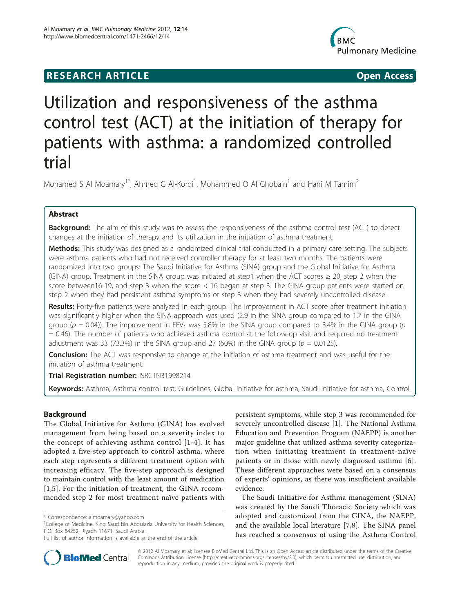# **RESEARCH ARTICLE Example 2018 12:00 Open Access**



# Utilization and responsiveness of the asthma control test (ACT) at the initiation of therapy for patients with asthma: a randomized controlled trial

Mohamed S Al Moamary<sup>1\*</sup>, Ahmed G Al-Kordi<sup>1</sup>, Mohammed O Al Ghobain<sup>1</sup> and Hani M Tamim<sup>2</sup>

# Abstract

**Background:** The aim of this study was to assess the responsiveness of the asthma control test (ACT) to detect changes at the initiation of therapy and its utilization in the initiation of asthma treatment.

Methods: This study was designed as a randomized clinical trial conducted in a primary care setting. The subjects were asthma patients who had not received controller therapy for at least two months. The patients were randomized into two groups: The Saudi Initiative for Asthma (SINA) group and the Global Initiative for Asthma (GINA) group. Treatment in the SINA group was initiated at step1 when the ACT scores  $\geq$  20, step 2 when the score between16-19, and step 3 when the score < 16 began at step 3. The GINA group patients were started on step 2 when they had persistent asthma symptoms or step 3 when they had severely uncontrolled disease.

Results: Forty-five patients were analyzed in each group. The improvement in ACT score after treatment initiation was significantly higher when the SINA approach was used (2.9 in the SINA group compared to 1.7 in the GINA group ( $p = 0.04$ )). The improvement in FEV<sub>1</sub> was 5.8% in the SINA group compared to 3.4% in the GINA group ( $p$ = 0.46). The number of patients who achieved asthma control at the follow-up visit and required no treatment adjustment was 33 (73.3%) in the SINA group and 27 (60%) in the GINA group ( $p = 0.0125$ ).

**Conclusion:** The ACT was responsive to change at the initiation of asthma treatment and was useful for the initiation of asthma treatment.

Trial Registration number: [ISRCTN31998214](http://www.controlled-trials.com/ISRCTN31998214)

Keywords: Asthma, Asthma control test, Guidelines, Global initiative for asthma, Saudi initiative for asthma, Control

# Background

The Global Initiative for Asthma (GINA) has evolved management from being based on a severity index to the concept of achieving asthma control [[1](#page-5-0)-[4](#page-5-0)]. It has adopted a five-step approach to control asthma, where each step represents a different treatment option with increasing efficacy. The five-step approach is designed to maintain control with the least amount of medication [[1,5](#page-5-0)]. For the initiation of treatment, the GINA recommended step 2 for most treatment naïve patients with

persistent symptoms, while step 3 was recommended for severely uncontrolled disease [\[1](#page-5-0)]. The National Asthma Education and Prevention Program (NAEPP) is another major guideline that utilized asthma severity categorization when initiating treatment in treatment-naïve patients or in those with newly diagnosed asthma [[6](#page-5-0)]. These different approaches were based on a consensus of experts' opinions, as there was insufficient available evidence.

The Saudi Initiative for Asthma management (SINA) was created by the Saudi Thoracic Society which was adopted and customized from the GINA, the NAEPP, and the available local literature [[7,8](#page-5-0)]. The SINA panel has reached a consensus of using the Asthma Control



© 2012 Al Moamary et al; licensee BioMed Central Ltd. This is an Open Access article distributed under the terms of the Creative Commons Attribution License [\(http://creativecommons.org/licenses/by/2.0](http://creativecommons.org/licenses/by/2.0)), which permits unrestricted use, distribution, and reproduction in any medium, provided the original work is properly cited.

<sup>\*</sup> Correspondence: [almoamary@yahoo.com](mailto:almoamary@yahoo.com)

<sup>&</sup>lt;sup>1</sup>College of Medicine, King Saud bin Abdulaziz University for Health Sciences, P.O. Box 84252, Riyadh 11671, Saudi Arabia

Full list of author information is available at the end of the article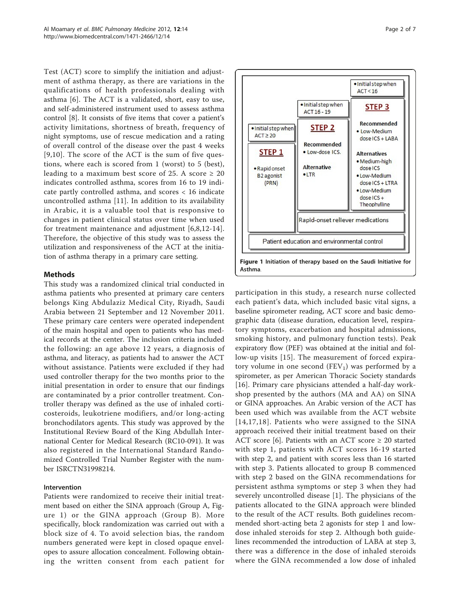Test (ACT) score to simplify the initiation and adjustment of asthma therapy, as there are variations in the qualifications of health professionals dealing with asthma [[6\]](#page-5-0). The ACT is a validated, short, easy to use, and self-administered instrument used to assess asthma control [\[8](#page-5-0)]. It consists of five items that cover a patient's activity limitations, shortness of breath, frequency of night symptoms, use of rescue medication and a rating of overall control of the disease over the past 4 weeks [[9](#page-5-0),[10\]](#page-5-0). The score of the ACT is the sum of five questions, where each is scored from 1 (worst) to 5 (best), leading to a maximum best score of 25. A score  $\geq 20$ indicates controlled asthma, scores from 16 to 19 indicate partly controlled asthma, and scores < 16 indicate uncontrolled asthma [[11\]](#page-5-0). In addition to its availability in Arabic, it is a valuable tool that is responsive to changes in patient clinical status over time when used for treatment maintenance and adjustment [[6,8,12](#page-5-0)-[14](#page-5-0)]. Therefore, the objective of this study was to assess the utilization and responsiveness of the ACT at the initiation of asthma therapy in a primary care setting.

# Methods

This study was a randomized clinical trial conducted in asthma patients who presented at primary care centers belongs King Abdulaziz Medical City, Riyadh, Saudi Arabia between 21 September and 12 November 2011. These primary care centers were operated independent of the main hospital and open to patients who has medical records at the center. The inclusion criteria included the following: an age above 12 years, a diagnosis of asthma, and literacy, as patients had to answer the ACT without assistance. Patients were excluded if they had used controller therapy for the two months prior to the initial presentation in order to ensure that our findings are contaminated by a prior controller treatment. Controller therapy was defined as the use of inhaled corticosteroids, leukotriene modifiers, and/or long-acting bronchodilators agents. This study was approved by the Institutional Review Board of the King Abdullah International Center for Medical Research (RC10-091). It was also registered in the International Standard Randomized Controlled Trial Number Register with the number ISRCTN31998214.

# Intervention

Patients were randomized to receive their initial treatment based on either the SINA approach (Group A, Figure 1) or the GINA approach (Group B). More specifically, block randomization was carried out with a block size of 4. To avoid selection bias, the random numbers generated were kept in closed opaque envelopes to assure allocation concealment. Following obtaining the written consent from each patient for



participation in this study, a research nurse collected each patient's data, which included basic vital signs, a baseline spirometer reading, ACT score and basic demographic data (disease duration, education level, respiratory symptoms, exacerbation and hospital admissions, smoking history, and pulmonary function tests). Peak expiratory flow (PEF) was obtained at the initial and follow-up visits [\[15](#page-5-0)]. The measurement of forced expiratory volume in one second  $(FEV_1)$  was performed by a spirometer, as per American Thoracic Society standards [[16\]](#page-5-0). Primary care physicians attended a half-day workshop presented by the authors (MA and AA) on SINA or GINA approaches. An Arabic version of the ACT has been used which was available from the ACT website [[14,17](#page-5-0),[18\]](#page-5-0). Patients who were assigned to the SINA approach received their initial treatment based on their ACT score [\[6](#page-5-0)]. Patients with an ACT score  $\geq 20$  started with step 1, patients with ACT scores 16-19 started with step 2, and patient with scores less than 16 started with step 3. Patients allocated to group B commenced with step 2 based on the GINA recommendations for persistent asthma symptoms or step 3 when they had severely uncontrolled disease [[1\]](#page-5-0). The physicians of the patients allocated to the GINA approach were blinded to the result of the ACT results. Both guidelines recommended short-acting beta 2 agonists for step 1 and lowdose inhaled steroids for step 2. Although both guidelines recommended the introduction of LABA at step 3, there was a difference in the dose of inhaled steroids where the GINA recommended a low dose of inhaled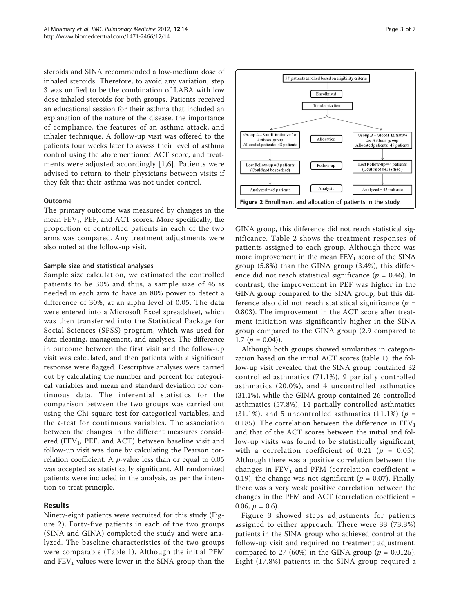steroids and SINA recommended a low-medium dose of inhaled steroids. Therefore, to avoid any variation, step 3 was unified to be the combination of LABA with low dose inhaled steroids for both groups. Patients received an educational session for their asthma that included an explanation of the nature of the disease, the importance of compliance, the features of an asthma attack, and inhaler technique. A follow-up visit was offered to the patients four weeks later to assess their level of asthma control using the aforementioned ACT score, and treatments were adjusted accordingly [[1](#page-5-0),[6\]](#page-5-0). Patients were advised to return to their physicians between visits if they felt that their asthma was not under control.

### Outcome

The primary outcome was measured by changes in the mean  $FEV<sub>1</sub>$ , PEF, and ACT scores. More specifically, the proportion of controlled patients in each of the two arms was compared. Any treatment adjustments were also noted at the follow-up visit.

#### Sample size and statistical analyses

Sample size calculation, we estimated the controlled patients to be 30% and thus, a sample size of 45 is needed in each arm to have an 80% power to detect a difference of 30%, at an alpha level of 0.05. The data were entered into a Microsoft Excel spreadsheet, which was then transferred into the Statistical Package for Social Sciences (SPSS) program, which was used for data cleaning, management, and analyses. The difference in outcome between the first visit and the follow-up visit was calculated, and then patients with a significant response were flagged. Descriptive analyses were carried out by calculating the number and percent for categorical variables and mean and standard deviation for continuous data. The inferential statistics for the comparison between the two groups was carried out using the Chi-square test for categorical variables, and the t-test for continuous variables. The association between the changes in the different measures considered (FEV<sub>1</sub>, PEF, and ACT) between baseline visit and follow-up visit was done by calculating the Pearson correlation coefficient. A p-value less than or equal to 0.05 was accepted as statistically significant. All randomized patients were included in the analysis, as per the intention-to-treat principle.

## Results

Ninety-eight patients were recruited for this study (Figure 2). Forty-five patients in each of the two groups (SINA and GINA) completed the study and were analyzed. The baseline characteristics of the two groups were comparable (Table [1\)](#page-3-0). Although the initial PFM and  $FEV<sub>1</sub>$  values were lower in the SINA group than the



GINA group, this difference did not reach statistical significance. Table [2](#page-3-0) shows the treatment responses of patients assigned to each group. Although there was more improvement in the mean  $FEV_1$  score of the SINA group (5.8%) than the GINA group (3.4%), this difference did not reach statistical significance ( $p = 0.46$ ). In contrast, the improvement in PEF was higher in the GINA group compared to the SINA group, but this difference also did not reach statistical significance ( $p =$ 0.803). The improvement in the ACT score after treatment initiation was significantly higher in the SINA group compared to the GINA group (2.9 compared to 1.7  $(p = 0.04)$ .

Although both groups showed similarities in categorization based on the initial ACT scores (table [1](#page-3-0)), the follow-up visit revealed that the SINA group contained 32 controlled asthmatics (71.1%), 9 partially controlled asthmatics (20.0%), and 4 uncontrolled asthmatics (31.1%), while the GINA group contained 26 controlled asthmatics (57.8%), 14 partially controlled asthmatics  $(31.1\%)$ , and 5 uncontrolled asthmatics  $(11.1\%)$  ( $p =$ 0.185). The correlation between the difference in  $FEV<sub>1</sub>$ and that of the ACT scores between the initial and follow-up visits was found to be statistically significant, with a correlation coefficient of 0.21 ( $p = 0.05$ ). Although there was a positive correlation between the changes in  $FEV_1$  and PFM (correlation coefficient = 0.19), the change was not significant ( $p = 0.07$ ). Finally, there was a very weak positive correlation between the changes in the PFM and ACT (correlation coefficient = 0.06,  $p = 0.6$ ).

Figure [3](#page-4-0) showed steps adjustments for patients assigned to either approach. There were 33 (73.3%) patients in the SINA group who achieved control at the follow-up visit and required no treatment adjustment, compared to 27 (60%) in the GINA group ( $p = 0.0125$ ). Eight (17.8%) patients in the SINA group required a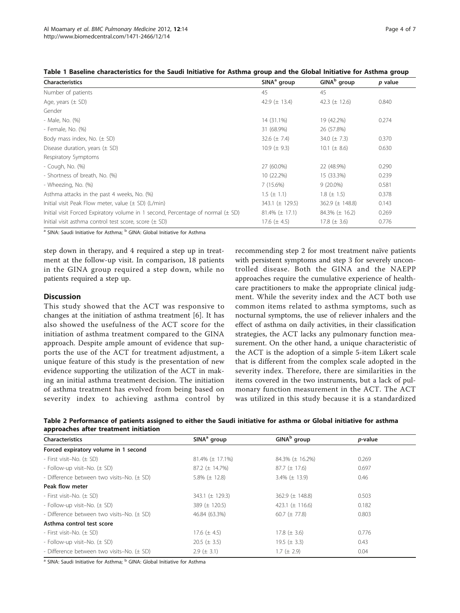| <b>Characteristics</b>                                                              | $SINAa$ group          | GINA <sup>b</sup> group | p value |
|-------------------------------------------------------------------------------------|------------------------|-------------------------|---------|
| Number of patients                                                                  | 45                     | 45                      |         |
| Age, years $(\pm$ SD)                                                               | 42.9 $(\pm 13.4)$      | 42.3 $(\pm 12.6)$       | 0.840   |
| Gender                                                                              |                        |                         |         |
| - Male, No. (%)                                                                     | 14 (31.1%)             | 19 (42.2%)              | 0.274   |
| - Female, No. (%)                                                                   | 31 (68.9%)             | 26 (57.8%)              |         |
| Body mass index, No. $(\pm$ SD)                                                     | 32.6 $(\pm 7.4)$       | 34.0 $(\pm 7.3)$        | 0.370   |
| Disease duration, years $(\pm$ SD)                                                  | 10.9 ( $\pm$ 9.3)      | 10.1 ( $\pm$ 8.6)       | 0.630   |
| Respiratory Symptoms                                                                |                        |                         |         |
| - Cough, No. (%)                                                                    | 27 (60.0%)             | 22 (48.9%)              | 0.290   |
| - Shortness of breath, No. (%)                                                      | 10 (22.2%)             | 15 (33.3%)              | 0.239   |
| - Wheezing, No. (%)                                                                 | 7(15.6%)               | $9(20.0\%)$             | 0.581   |
| Asthma attacks in the past 4 weeks, No. (%)                                         | $1.5~(\pm~1.1)$        | $1.8 (\pm 1.5)$         | 0.378   |
| Initial visit Peak Flow meter, value $(\pm$ SD) (L/min)                             | 343.1 $(\pm 129.5)$    | 362.9 $(\pm 148.8)$     | 0.143   |
| Initial visit Forced Expiratory volume in 1 second, Percentage of normal $(\pm$ SD) | $81.4\%$ ( $\pm$ 17.1) | 84.3% $(\pm 16.2)$      | 0.269   |
| Initial visit asthma control test score, score $(\pm$ SD)                           | 17.6 $(\pm 4.5)$       | 17.8 $(\pm 3.6)$        | 0.776   |

<span id="page-3-0"></span>

|  |  | Table 1 Baseline characteristics for the Saudi Initiative for Asthma group and the Global Initiative for Asthma group |  |  |  |  |  |  |  |  |  |  |  |
|--|--|-----------------------------------------------------------------------------------------------------------------------|--|--|--|--|--|--|--|--|--|--|--|
|--|--|-----------------------------------------------------------------------------------------------------------------------|--|--|--|--|--|--|--|--|--|--|--|

<sup>a</sup> SINA: Saudi Initiative for Asthma; <sup>b</sup> GINA: Global Initiative for Asthma

step down in therapy, and 4 required a step up in treatment at the follow-up visit. In comparison, 18 patients in the GINA group required a step down, while no patients required a step up.

# **Discussion**

This study showed that the ACT was responsive to changes at the initiation of asthma treatment [\[6](#page-5-0)]. It has also showed the usefulness of the ACT score for the initiation of asthma treatment compared to the GINA approach. Despite ample amount of evidence that supports the use of the ACT for treatment adjustment, a unique feature of this study is the presentation of new evidence supporting the utilization of the ACT in making an initial asthma treatment decision. The initiation of asthma treatment has evolved from being based on severity index to achieving asthma control by

recommending step 2 for most treatment naïve patients with persistent symptoms and step 3 for severely uncontrolled disease. Both the GINA and the NAEPP approaches require the cumulative experience of healthcare practitioners to make the appropriate clinical judgment. While the severity index and the ACT both use common items related to asthma symptoms, such as nocturnal symptoms, the use of reliever inhalers and the effect of asthma on daily activities, in their classification strategies, the ACT lacks any pulmonary function measurement. On the other hand, a unique characteristic of the ACT is the adoption of a simple 5-item Likert scale that is different from the complex scale adopted in the severity index. Therefore, there are similarities in the items covered in the two instruments, but a lack of pulmonary function measurement in the ACT. The ACT was utilized in this study because it is a standardized

| Table 2 Performance of patients assigned to either the Saudi initiative for asthma or Global initiative for asthma |  |  |  |  |  |
|--------------------------------------------------------------------------------------------------------------------|--|--|--|--|--|
| approaches after treatment initiation                                                                              |  |  |  |  |  |

| <b>Characteristics</b>                     | SINA <sup>a</sup> group | GINA <sup>b</sup> group | <i>p</i> -value |  |
|--------------------------------------------|-------------------------|-------------------------|-----------------|--|
| Forced expiratory volume in 1 second       |                         |                         |                 |  |
| - First visit-No. (± SD)                   | $81.4\% (\pm 17.1\%)$   | 84.3% (± 16.2%)         | 0.269           |  |
| - Follow-up visit-No. (± SD)               | $87.2 \ (\pm 14.7\%)$   | $87.7 (\pm 17.6)$       | 0.697           |  |
| - Difference between two visits-No. (± SD) | 5.8% $(\pm 12.8)$       | $3.4\% (\pm 13.9)$      | 0.46            |  |
| Peak flow meter                            |                         |                         |                 |  |
| - First visit-No. (± SD)                   | 343.1 $(\pm 129.3)$     | 362.9 $(\pm 148.8)$     | 0.503           |  |
| - Follow-up visit-No. (± SD)               | 389 $(\pm 120.5)$       | 423.1 $(\pm 116.6)$     | 0.182           |  |
| - Difference between two visits-No. (± SD) | 46.84 (63.3%)           | 60.7 ( $\pm$ 77.8)      | 0.803           |  |
| Asthma control test score                  |                         |                         |                 |  |
| - First visit-No. (± SD)                   | 17.6 $(\pm 4.5)$        | 17.8 $(\pm 3.6)$        | 0.776           |  |
| - Follow-up visit-No. (± SD)               | $20.5 (\pm 3.5)$        | 19.5 $(\pm 3.3)$        | 0.43            |  |
| - Difference between two visits-No. (± SD) | $2.9 \ (\pm 3.1)$       | $1.7 (\pm 2.9)$         | 0.04            |  |

<sup>a</sup> SINA: Saudi Initiative for Asthma; <sup>b</sup> GINA: Global Initiative for Asthma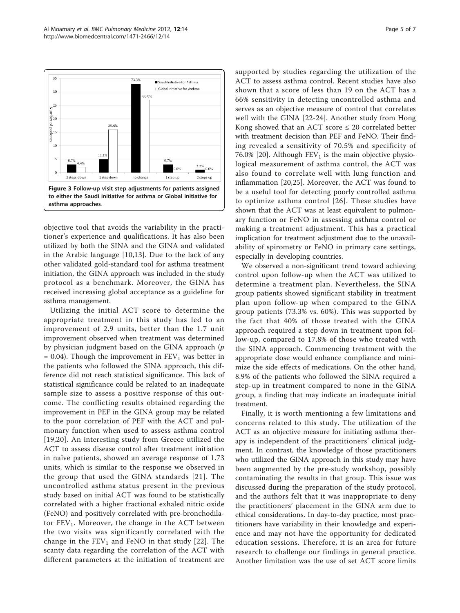<span id="page-4-0"></span>

objective tool that avoids the variability in the practitioner's experience and qualifications. It has also been utilized by both the SINA and the GINA and validated in the Arabic language [[10,13](#page-5-0)]. Due to the lack of any other validated gold-standard tool for asthma treatment initiation, the GINA approach was included in the study protocol as a benchmark. Moreover, the GINA has received increasing global acceptance as a guideline for asthma management.

Utilizing the initial ACT score to determine the appropriate treatment in this study has led to an improvement of 2.9 units, better than the 1.7 unit improvement observed when treatment was determined by physician judgment based on the GINA approach  $(p)$  $= 0.04$ ). Though the improvement in  $FEV<sub>1</sub>$  was better in the patients who followed the SINA approach, this difference did not reach statistical significance. This lack of statistical significance could be related to an inadequate sample size to assess a positive response of this outcome. The conflicting results obtained regarding the improvement in PEF in the GINA group may be related to the poor correlation of PEF with the ACT and pulmonary function when used to assess asthma control [[19](#page-5-0),[20\]](#page-5-0). An interesting study from Greece utilized the ACT to assess disease control after treatment initiation in naïve patients, showed an average response of 1.73 units, which is similar to the response we observed in the group that used the GINA standards [[21](#page-5-0)]. The uncontrolled asthma status present in the previous study based on initial ACT was found to be statistically correlated with a higher fractional exhaled nitric oxide (FeNO) and positively correlated with pre-bronchodilator  $FEV<sub>1</sub>$ . Moreover, the change in the ACT between the two visits was significantly correlated with the change in the  $FEV_1$  and FeNO in that study [\[22\]](#page-5-0). The scanty data regarding the correlation of the ACT with different parameters at the initiation of treatment are supported by studies regarding the utilization of the ACT to assess asthma control. Recent studies have also shown that a score of less than 19 on the ACT has a 66% sensitivity in detecting uncontrolled asthma and serves as an objective measure of control that correlates well with the GINA [\[22](#page-5-0)-[24\]](#page-5-0). Another study from Hong Kong showed that an ACT score  $\leq 20$  correlated better with treatment decision than PEF and FeNO. Their finding revealed a sensitivity of 70.5% and specificity of 76.0% [[20\]](#page-5-0). Although  $FEV<sub>1</sub>$  is the main objective physiological measurement of asthma control, the ACT was also found to correlate well with lung function and inflammation [[20,25](#page-5-0)]. Moreover, the ACT was found to be a useful tool for detecting poorly controlled asthma to optimize asthma control [[26\]](#page-6-0). These studies have shown that the ACT was at least equivalent to pulmonary function or FeNO in assessing asthma control or making a treatment adjustment. This has a practical implication for treatment adjustment due to the unavailability of spirometry or FeNO in primary care settings, especially in developing countries.

We observed a non-significant trend toward achieving control upon follow-up when the ACT was utilized to determine a treatment plan. Nevertheless, the SINA group patients showed significant stability in treatment plan upon follow-up when compared to the GINA group patients (73.3% vs. 60%). This was supported by the fact that 40% of those treated with the GINA approach required a step down in treatment upon follow-up, compared to 17.8% of those who treated with the SINA approach. Commencing treatment with the appropriate dose would enhance compliance and minimize the side effects of medications. On the other hand, 8.9% of the patients who followed the SINA required a step-up in treatment compared to none in the GINA group, a finding that may indicate an inadequate initial treatment.

Finally, it is worth mentioning a few limitations and concerns related to this study. The utilization of the ACT as an objective measure for initiating asthma therapy is independent of the practitioners' clinical judgment. In contrast, the knowledge of those practitioners who utilized the GINA approach in this study may have been augmented by the pre-study workshop, possibly contaminating the results in that group. This issue was discussed during the preparation of the study protocol, and the authors felt that it was inappropriate to deny the practitioners' placement in the GINA arm due to ethical considerations. In day-to-day practice, most practitioners have variability in their knowledge and experience and may not have the opportunity for dedicated education sessions. Therefore, it is an area for future research to challenge our findings in general practice. Another limitation was the use of set ACT score limits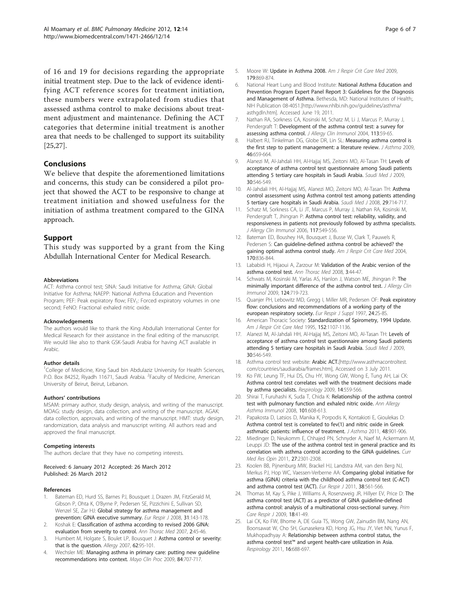<span id="page-5-0"></span>of 16 and 19 for decisions regarding the appropriate initial treatment step. Due to the lack of evidence identifying ACT reference scores for treatment initiation, these numbers were extrapolated from studies that assessed asthma control to make decisions about treatment adjustment and maintenance. Defining the ACT categories that determine initial treatment is another area that needs to be challenged to support its suitability [25,[27\]](#page-6-0).

# Conclusions

We believe that despite the aforementioned limitations and concerns, this study can be considered a pilot project that showed the ACT to be responsive to change at treatment initiation and showed usefulness for the initiation of asthma treatment compared to the GINA approach.

# Support

This study was supported by a grant from the King Abdullah International Center for Medical Research.

#### Abbreviations

ACT: Asthma control test; SINA: Saudi Initiative for Asthma; GINA: Global Initiative for Asthma; NAEPP: National Asthma Education and Prevention Program; PEF: Peak expiratory flow; FEV<sub>1</sub>: Forced expiratory volumes in one second; FeNO: Fractional exhaled nitric oxide.

#### Acknowledgements

The authors would like to thank the King Abdullah International Center for Medical Research for their assistance in the final editing of the manuscript. We would like also to thank GSK-Saudi Arabia for having ACT available in Arabic.

#### Author details

<sup>1</sup>College of Medicine, King Saud bin Abdulaziz University for Health Sciences, P.O. Box 84252, Riyadh 11671, Saudi Arabia. <sup>2</sup> Faculty of Medicine, American University of Beirut, Beirut, Lebanon.

#### Authors' contributions

MSAM: primary author, study design, analysis, and writing of the manuscript. MOAG: study design, data collection, and writing of the manuscript. AGAK: data collection, approvals, and writing of the manuscript. HMT: study design, randomization, data analysis and manuscript writing. All authors read and approved the final manuscript.

#### Competing interests

The authors declare that they have no competing interests.

Received: 6 January 2012 Accepted: 26 March 2012 Published: 26 March 2012

#### References

- Bateman ED, Hurd SS, Barnes PJ, Bousquet J, Drazen JM, FitzGerald M, Gibson P, Ohta K, O'Byrne P, Pedersen SE, Pizzichini E, Sullivan SD, Wenzel SE, Zar HJ: [Global strategy for asthma management and](http://www.ncbi.nlm.nih.gov/pubmed/18166595?dopt=Abstract) [prevention: GINA executive summary.](http://www.ncbi.nlm.nih.gov/pubmed/18166595?dopt=Abstract) Eur Respir J 2008, 31:143-178.
- 2. Koshak E: [Classification of asthma according to revised 2006 GINA:](http://www.ncbi.nlm.nih.gov/pubmed/19727344?dopt=Abstract) [evaluation from severity to control.](http://www.ncbi.nlm.nih.gov/pubmed/19727344?dopt=Abstract) Ann Thorac Med 2007, 2:45-46.
- 3. Humbert M, Holgate S, Boulet LP, Bousquet J: [Asthma control or severity:](http://www.ncbi.nlm.nih.gov/pubmed/17298415?dopt=Abstract) [that is the question.](http://www.ncbi.nlm.nih.gov/pubmed/17298415?dopt=Abstract) Allergy 2007, 62:95-101.
- 4. Wechsler ME: [Managing asthma in primary care: putting new guideline](http://www.ncbi.nlm.nih.gov/pubmed/19648388?dopt=Abstract) [recommendations into context.](http://www.ncbi.nlm.nih.gov/pubmed/19648388?dopt=Abstract) Mayo Clin Proc 2009, 84:707-717.
- 5. Moore W: [Update in Asthma 2008.](http://www.ncbi.nlm.nih.gov/pubmed/19423720?dopt=Abstract) Am J Respir Crit Care Med 2009. 179:869-874.
- 6. National Heart Lung and Blood Institute: National Asthma Education and Prevention Program Expert Panel Report 3: Guidelines for the Diagnosis and Management of Asthma. Bethesda, MD: National Institutes of Health;, NIH Publication 08-4051.[http://www.nhlbi.nih.gov/guidelines/asthma/ asthgdln.htm]. Accessed June 19, 2011.
- 7. Nathan RA, Sorkness CA, Kosinski M, Schatz M, Li J, Marcus P, Murray J, Pendergraft T: [Development of the asthma control test: a survey for](http://www.ncbi.nlm.nih.gov/pubmed/14713908?dopt=Abstract) [assessing asthma control.](http://www.ncbi.nlm.nih.gov/pubmed/14713908?dopt=Abstract) J Allergy Clin Immunol 2004, 113:59-65.
- 8. Halbert RJ, Tinkelman DG, Globe DR, Lin SL: [Measuring asthma control is](http://www.ncbi.nlm.nih.gov/pubmed/19728201?dopt=Abstract) [the first step to patient management: a literature review.](http://www.ncbi.nlm.nih.gov/pubmed/19728201?dopt=Abstract) J Asthma 2009, 46:659-664.
- 9. Alanezi M, Al-Jahdali HH, Al-Hajjaj MS, Zeitoni MO, Al-Tasan TH: [Levels of](http://www.ncbi.nlm.nih.gov/pubmed/19370285?dopt=Abstract) [acceptance of asthma control test questionnaire among Saudi patients](http://www.ncbi.nlm.nih.gov/pubmed/19370285?dopt=Abstract) [attending 5 tertiary care hospitals in Saudi Arabia.](http://www.ncbi.nlm.nih.gov/pubmed/19370285?dopt=Abstract) Saudi Med J 2009, 30:546-549.
- 10. Al-Jahdali HH, Al-Hajjaj MS, Alanezi MO, Zeitoni MO, Al-Tasan TH: [Asthma](http://www.ncbi.nlm.nih.gov/pubmed/18454220?dopt=Abstract) [control assessment using Asthma control test among patients attending](http://www.ncbi.nlm.nih.gov/pubmed/18454220?dopt=Abstract) [5 tertiary care hospitals in Saudi Arabia.](http://www.ncbi.nlm.nih.gov/pubmed/18454220?dopt=Abstract) Saudi Med J 2008, 29:714-717.
- 11. Schatz M, Sorkness CA, Li JT, Marcus P, Murray J, Nathan RA, Kosinski M, Pendergraft T, Jhingran P: [Asthma control test: reliability, validity, and](http://www.ncbi.nlm.nih.gov/pubmed/16522452?dopt=Abstract) [responsiveness in patients not previously followed by asthma specialists.](http://www.ncbi.nlm.nih.gov/pubmed/16522452?dopt=Abstract) J Allergy Clin Immunol 2006, 117:549-556.
- 12. Bateman ED, Boushey HA, Bousquet J, Busse W, Clark T, Pauwels R, Pedersen S: [Can guideline-defined asthma control be achieved? the](http://www.ncbi.nlm.nih.gov/pubmed/15256389?dopt=Abstract) [gaining optimal asthma control study.](http://www.ncbi.nlm.nih.gov/pubmed/15256389?dopt=Abstract) Am J Respir Crit Care Med 2004, 170:836-844.
- 13. Lababidi H, Hijaoui A, Zarzour M: [Validation of the Arabic version of the](http://www.ncbi.nlm.nih.gov/pubmed/19561904?dopt=Abstract) [asthma control test.](http://www.ncbi.nlm.nih.gov/pubmed/19561904?dopt=Abstract) Ann Thorac Med 2008, 3:44-47.
- 14. Schwats M, Kosinski M, Yarlas AS, Hanlon J, Watson ME, Jhingran P: [The](http://www.ncbi.nlm.nih.gov/pubmed/19767070?dopt=Abstract) [minimally important difference of the asthma control test.](http://www.ncbi.nlm.nih.gov/pubmed/19767070?dopt=Abstract) J Allergy Clin Immunol 2009, 124:719-723.
- 15. Quanjer PH, Lebowitz MD, Gregg I, Miller MR, Pedersen OF: [Peak expiratory](http://www.ncbi.nlm.nih.gov/pubmed/9098701?dopt=Abstract) [flow: conclusions and recommendations of a working party of the](http://www.ncbi.nlm.nih.gov/pubmed/9098701?dopt=Abstract) [european respiratory society.](http://www.ncbi.nlm.nih.gov/pubmed/9098701?dopt=Abstract) Eur Respir J Suppl 1997, 24:2S-8S.
- 16. American Thoracic Society: [Standardization of Spirometry, 1994 Update.](http://www.ncbi.nlm.nih.gov/pubmed/7663792?dopt=Abstract) Am J Respir Crit Care Med 1995, 152:1107-1136.
- 17. Alanezi M, Al-Jahdali HH, Al-Hajjaj MS, Zeitoni MO, Al-Tasan TH: [Levels of](http://www.ncbi.nlm.nih.gov/pubmed/19370285?dopt=Abstract) [acceptance of asthma control test questionnaire among Saudi patients](http://www.ncbi.nlm.nih.gov/pubmed/19370285?dopt=Abstract) [attending 5 tertiary care hospitals in Saudi Arabia.](http://www.ncbi.nlm.nih.gov/pubmed/19370285?dopt=Abstract) Saudi Med J 2009, 30:546-549.
- 18. Asthma control test website: **Arabic ACT.**[\[http://www.asthmacontroltest.](http://www.asthmacontroltest.com/countries/saudiarabia/frames.htm) [com/countries/saudiarabia/frames.htm\]](http://www.asthmacontroltest.com/countries/saudiarabia/frames.htm), Accessed on 3 July 2011.
- 19. Ko FW, Leung TF, Hui DS, Chu HY, Wong GW, Wong E, Tung AH, Lai CK: [Asthma control test correlates well with the treatment decisions made](http://www.ncbi.nlm.nih.gov/pubmed/19383110?dopt=Abstract) [by asthma specialists.](http://www.ncbi.nlm.nih.gov/pubmed/19383110?dopt=Abstract) Respirology 2009, 14:559-566.
- 20. Shirai T, Furuhashi K, Suda T, Chida K; [Relationship of the asthma control](http://www.ncbi.nlm.nih.gov/pubmed/19119704?dopt=Abstract) [test with pulmonary function and exhaled nitric oxide.](http://www.ncbi.nlm.nih.gov/pubmed/19119704?dopt=Abstract) Ann Allergy Asthma Immunol 2008, 101:608-613.
- 21. Papakosta D, Latsios D, Manika K, Porpodis K, Kontakioti E, Gioulekas D: [Asthma control test is correlated to fev\(1\) and nitric oxide in Greek](http://www.ncbi.nlm.nih.gov/pubmed/21923284?dopt=Abstract) [asthmatic patients: influence of treatment.](http://www.ncbi.nlm.nih.gov/pubmed/21923284?dopt=Abstract) J Asthma 2011, 48:901-906.
- 22. Miedinger D, Neukomm E, Chhajed PN, Schnyder A, Naef M, Ackermann M, Leuppi JD: [The use of the asthma control test in general practice and its](http://www.ncbi.nlm.nih.gov/pubmed/21988667?dopt=Abstract) [correlation with asthma control according to the GINA guidelines.](http://www.ncbi.nlm.nih.gov/pubmed/21988667?dopt=Abstract) Curr Med Res Opin 2011, 27:2301-2308.
- 23. Koolen BB, Pijnenburg MW, Brackel HJ, Landstra AM, van den Berg NJ, Merkus PJ, Hop WC, Vaessen-Verberne AA: [Comparing global initiative for](http://www.ncbi.nlm.nih.gov/pubmed/21406508?dopt=Abstract) [asthma \(GINA\) criteria with the childhood asthma control test \(C-ACT\)](http://www.ncbi.nlm.nih.gov/pubmed/21406508?dopt=Abstract) [and asthma control test \(ACT\).](http://www.ncbi.nlm.nih.gov/pubmed/21406508?dopt=Abstract) Eur Respir J 2011, 38:561-566.
- 24. Thomas M, Kay S, Pike J, Williams A, Rosenzweig JR, Hillyer EV, Price D: [The](http://www.ncbi.nlm.nih.gov/pubmed/19240948?dopt=Abstract) [asthma control test \(ACT\) as a predictor of GINA guideline-defined](http://www.ncbi.nlm.nih.gov/pubmed/19240948?dopt=Abstract) [asthma control: analysis of a multinational cross-sectional survey.](http://www.ncbi.nlm.nih.gov/pubmed/19240948?dopt=Abstract) Prim Care Respir J 2009, 18:41-49.
- 25. Lai CK, Ko FW, Bhome A, DE Guia TS, Wong GW, Zainudin BM, Nang AN, Boonsawat W, Cho SH, Gunasekera KD, Hong JG, Hsu JY, Viet NN, Yunus F, Mukhopadhyay A: [Relationship between asthma control status, the](http://www.ncbi.nlm.nih.gov/pubmed/21362102?dopt=Abstract) asthma control test™ [and urgent health-care utilization in Asia.](http://www.ncbi.nlm.nih.gov/pubmed/21362102?dopt=Abstract) Respirology 2011, 16:688-697.